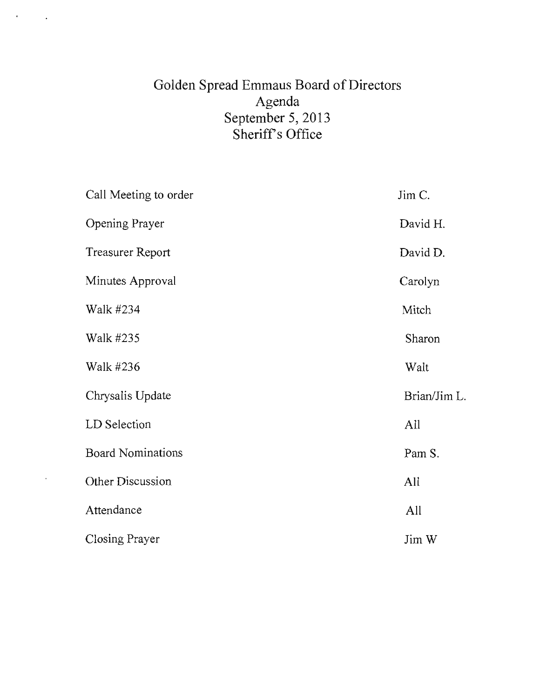# Golden Spread Emmaus Board of Directors Agenda September 5, 2013 Sheriff's Office

 $\bullet$ 

 $\sim$ 

÷,

| Call Meeting to order    | Jim C.       |
|--------------------------|--------------|
| Opening Prayer           | David H.     |
| <b>Treasurer Report</b>  | David D.     |
| Minutes Approval         | Carolyn      |
| Walk #234                | Mitch        |
| Walk #235                | Sharon       |
| Walk #236                | Walt         |
| Chrysalis Update         | Brian/Jim L. |
| LD Selection             | All          |
| <b>Board Nominations</b> | Pam S.       |
| Other Discussion         | All          |
| Attendance               | All          |
| <b>Closing Prayer</b>    | Jim W        |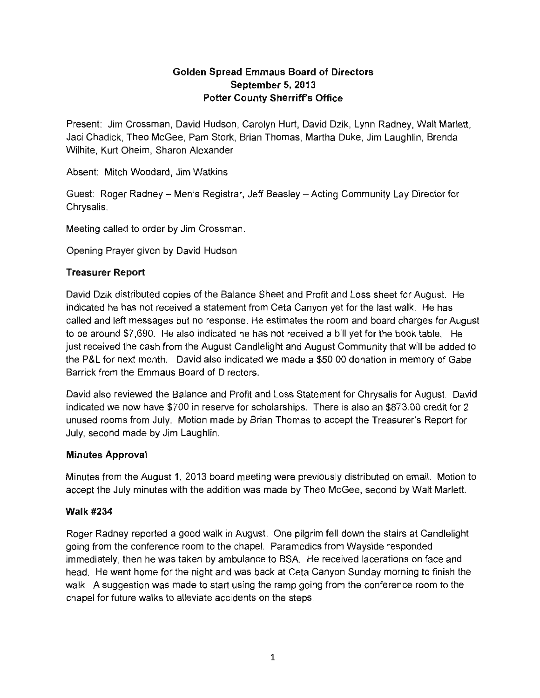## **Golden Spread Emmaus Board of Directors September 5,2013 Potter County Sherriffs Office**

Present: Jim Crossman, David Hudson, Carolyn Hurt, David Dzik, Lynn Radney, Walt Marlett, Jaci Chadick, Theo McGee, Pam Stork, Brian Thomas, Martha Duke, Jim Laughlin, Brenda Wilhite, Kurt Oheim, Sharon Alexander

Absent: Mitch Woodard, Jim Watkins

Guest: Roger Radney - Men's Registrar, Jeff Beasley - Acting Community Lay Director for Chrysalis.

Meeting called to order by Jim Crossman.

Opening Prayer given by David Hudson

#### **Treasurer Report**

David Dzik distributed copies of the Balance Sheet and Profit and Loss sheet for August. He indicated he has not received a statement from Ceta Canyon yet for the last walk. He has called and left messages but no response. He estimates the room and board charges for August to be around \$7,690. He also indicated he has not received a bill yet for the book table. He just received the cash from the August Candlelight and August Community that will be added to the P&L for next month. David also indicated we made a \$50.00 donation in memory of Gabe Barrick from the Emmaus Board of Directors.

David also reviewed the Balance and Profit and Loss Statement for Chrysalis for August. David indicated we now have \$700 in reserve for scholarships. There is also an \$873.00 credit for 2 unused rooms from JUly. Motion made by Brian Thomas to accept the Treasurer's Report for July, second made by Jim Laughlin.

### **Minutes Approval**

Minutes from the August 1, 2013 board meeting were previously distributed on email. Motion to accept the July minutes with the addition was made by Theo McGee, second by Walt Marlett.

### Walk #234

Roger Radney reported a good walk in August. One pilgrim fell down the stairs at Candlelight going from the conference room to the chapel. Paramedics from Wayside responded immediately, then he was taken by ambulance to BSA. He received lacerations on face and head. He went home for the night and was back at Ceta Canyon Sunday morning to finish the walk. A suggestion was made to start using the ramp going from the conference room to the chapel for future walks to alleviate accidents on the steps.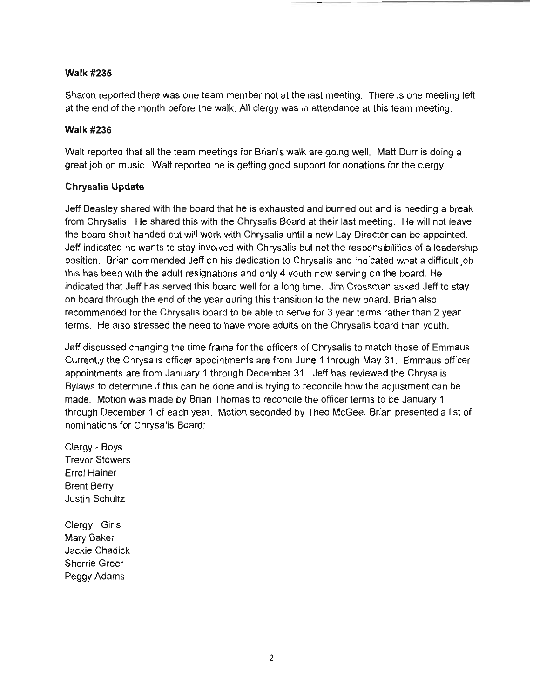#### Walk #235

Sharon reported there was one team member not at the last meeting. There is one meeting left at the end of the month before the walk. All clergy was in attendance at this team meeting.

#### **Walk #236**

Walt reported that all the team meetings for Brian's walk are going well. Matt Durr is doing a great job on music. Walt reported he is getting good support for donations for the clergy.

#### **Chrysalis Update**

Jeff Beasley shared with the board that he is exhausted and burned out and is needing a break from Chrysalis. He shared this with the Chrysalis Board at their last meeting. He will not leave the board short handed but will work with Chrysalis until a new Lay Director can be appointed. Jeff indicated he wants to stay involved with Chrysalis but not the responsibilities of a leadership position. Brian commended Jeff on his dedication to Chrysalis and indicated what a difficult job this has been with the adult resignations and only 4 youth now serving on the board. He indicated that Jeff has served this board well for a long time. Jim Crossman asked Jeff to stay on board through the end of the year during this transition to the new board. Brian also recommended for the Chrysalis board to be able to serve for 3 year terms rather than 2 year terms. He also stressed the need to have more adults on the Chrysalis board than youth.

Jeff discussed changing the time frame for the officers of Chrysalis to match those of Emmaus. Currently the Chrysalis officer appointments are from June 1 through May 31. Emmaus officer appointments are from January 1 through December 31. Jeff has reviewed the Chrysalis Bylaws to determine if this can be done and is trying to reconcile how the adjustment can be made. Motion was made by Brian Thomas to reconcile the officer terms to be January 1 through December 1 of each year. Motion seconded by Theo McGee. Brian presented a list of nominations for Chrysalis Board:

Clergy - Boys Trevor Stowers Errol Hainer Brent Berry Justin Schultz

Clergy: Girls Mary Baker Jackie Chadick Sherrie Greer Peggy Adams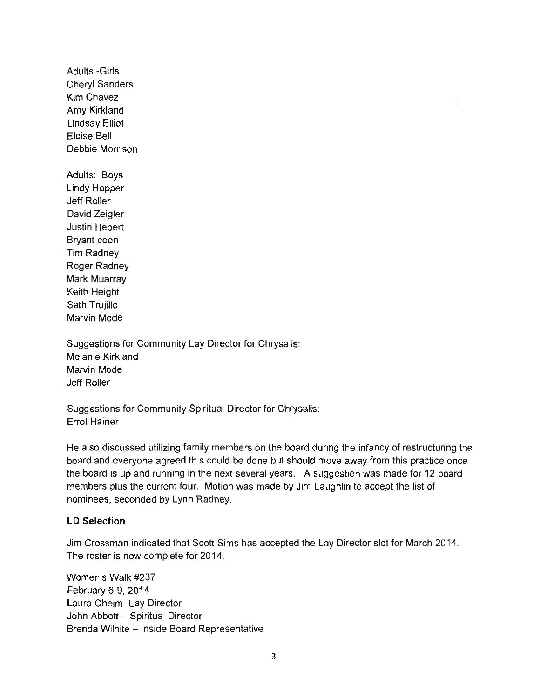Adults -Girls Cheryl Sanders Kim Chavez Amy Kirkland Lindsay Elliot Eloise Bell Debbie Morrison Adults: Boys Lindy Hopper Jeff Roller David Zeigler Justin Hebert Bryant coon Tim Radney Roger Radney Mark Muarray Keith Height Seth Trujillo Marvin Mode

Suggestions for Community Lay Director for Chrysalis: Melanie Kirkland Marvin Mode Jeff Roller

Suggestions for Community Spiritual Director for Chrysalis: Errol Hainer

He also discussed utilizing family members on the board during the infancy of restructuring the board and everyone agreed this could be done but should move away from this practice once the board is up and running in the next several years. A suggestion was made for 12 board members plus the current four. Motion was made by Jim Laughlin to accept the list of nominees, seconded by Lynn Radney.

#### **LD Selection**

Jim Crossman indicated that Scott Sims has accepted the Lay Director slot for March 2014. The roster is now complete for 2014.

Women's Walk #237 February 6-9, 2014 Laura Oheim- Lay Director John Abbott - Spiritual Director Brenda Wilhite - Inside Board Representative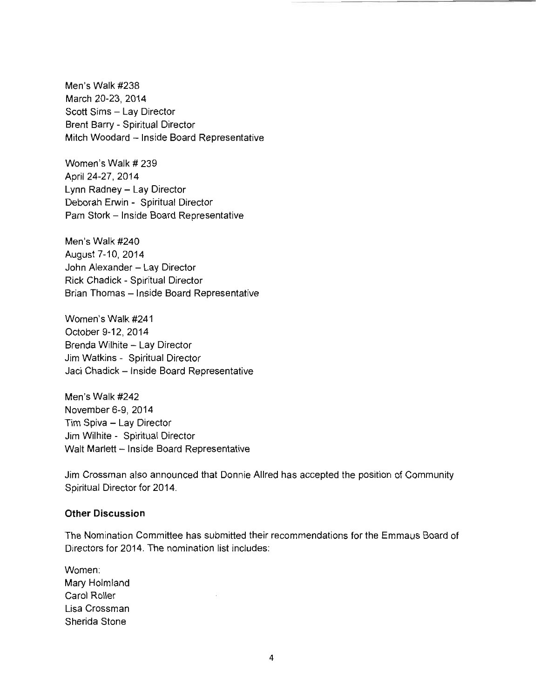Men's Walk #238 March 20-23, 2014 Scott Sims - Lay Director Brent Barry - Spiritual Director Mitch Woodard - Inside Board Representative

Women's Walk # 239 April 24-27, 2014 Lynn Radney - Lay Director Deborah Erwin - Spiritual Director Pam Stork - Inside Board Representative

Men's Walk #240 August 7-10,2014 John Alexander - Lay Director Rick Chadick - Spiritual Director Brian Thomas - Inside Board Representative

Women's Walk #241 October 9-12,2014 Brenda Wilhite - Lay Director Jim Watkins - Spiritual Director Jaci Chadick - Inside Board Representative

Men's Walk #242 November 6-9, 2014 Tim Spiva - Lay Director Jim Wilhite - Spiritual Director Walt Marlett -- Inside Board Representative

Jim Crossman also announced that Donnie Allred has accepted the position of Community Spiritual Director for 2014.

#### **Other Discussion**

The Nomination Committee has submitted their recommendations for the Emmaus Board of Directors for 2014. The nomination list includes:

Women: Mary Holmland Carol Roller Lisa Crossman Sherida Stone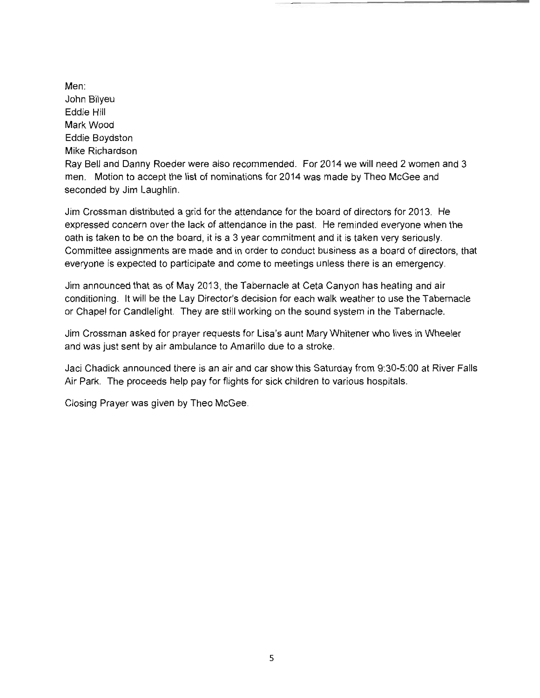Men: John Bilyeu Eddie Hill Mark Wood Eddie Boydston Mike Richardson Ray Bell and Danny Roeder were also recommended. For 2014 we will need 2 women and 3 men. Motion to accept the list of nominations for 2014 was made by Theo McGee and seconded by Jim Laughlin.

Jim Crossman distributed a grid for the attendance for the board of directors for 2013. He expressed concern over the lack of attendance in the past. He reminded everyone when the oath is taken to be on the board, it is a 3 year commitment and it is taken very seriously. Committee assignments are made and in order to conduct business as a board of directors, that everyone is expected to participate and come to meetings unless there is an emergency.

Jim announced that as of May 2013, the Tabernacle at Ceta Canyon has heating and air conditioning. It will be the Lay Director's decision for each walk weather to use the Tabernacle or Chapel for Candlelight. They are still working on the sound system in the Tabernacle.

Jim Crossman asked for prayer requests for Lisa's aunt Mary Whitener who lives in Wheeler and was just sent by air ambulance to Amarillo due to a stroke.

Jaci Chadick announced there is an air and car show this Saturday from 9:30-5:00 at River Falls Air Park. The proceeds help pay for flights for sick children to various hospitals.

Closing Prayer was given by Thea McGee.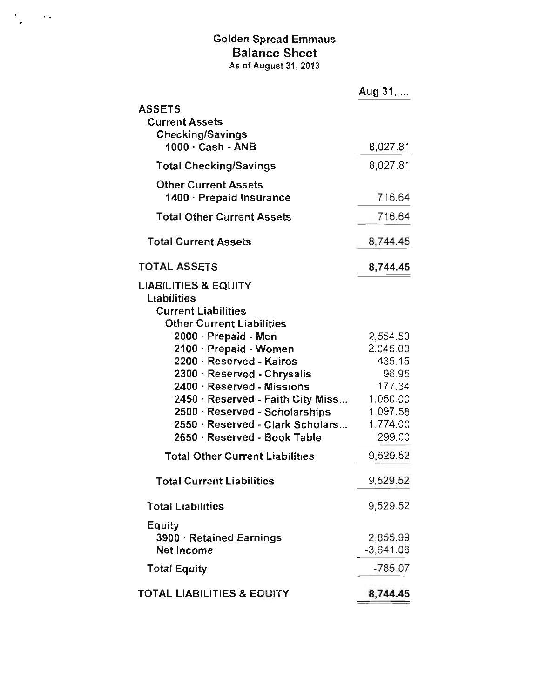# Golden Spread Emmaus Balance Sheet As of August 31,2013

 $\epsilon$ 

 $\sim 10^{11}$  k

|                                                                              | Aug 31,                 |
|------------------------------------------------------------------------------|-------------------------|
| <b>ASSETS</b><br><b>Current Assets</b><br><b>Checking/Savings</b>            |                         |
| 1000 · Cash - ANB                                                            | 8,027.81                |
| <b>Total Checking/Savings</b>                                                | 8,027.81                |
| <b>Other Current Assets</b><br>1400 · Prepaid Insurance                      | 716.64                  |
| <b>Total Other Current Assets</b>                                            | 716.64                  |
| <b>Total Current Assets</b>                                                  | 8,744.45                |
| TOTAL ASSETS                                                                 | 8,744.45                |
| <b>LIABILITIES &amp; EQUITY</b><br>Liabilities<br><b>Current Liabilities</b> |                         |
| <b>Other Current Liabilities</b><br>2000 · Prepaid - Men                     | 2,554.50                |
| 2100 · Prepaid - Women                                                       | 2,045.00                |
| 2200 · Reserved - Kairos                                                     | 435.15                  |
| 2300 · Reserved - Chrysalis                                                  | 96.95                   |
| 2400 · Reserved - Missions                                                   | 177.34                  |
| 2450 · Reserved - Faith City Miss                                            | 1,050.00                |
| 2500 · Reserved - Scholarships                                               | 1,097.58                |
| 2550 · Reserved - Clark Scholars                                             | 1,774.00                |
| 2650 · Reserved - Book Table                                                 | 299.00                  |
| <b>Total Other Current Liabilities</b>                                       | 9,529.52                |
| <b>Total Current Liabilities</b>                                             | 9,529.52                |
| <b>Total Liabilities</b>                                                     | 9,529.52                |
| Equity<br>3900 · Retained Earnings<br><b>Net Income</b>                      | 2,855.99<br>$-3,641.06$ |
| <b>Total Equity</b>                                                          | $-785.07$               |
| <b>TOTAL LIABILITIES &amp; EQUITY</b>                                        | 8,744.45                |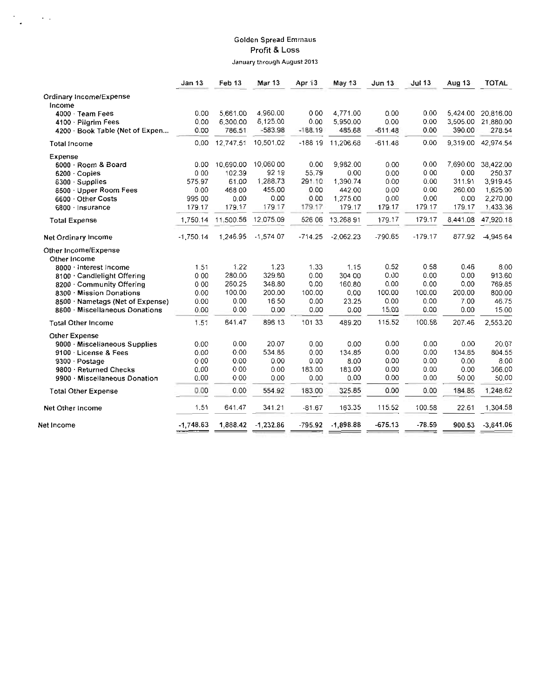#### Golden Spread Emmaus Profit & Loss January through August 2013

 $\cdot$ 

 $\sim 100$   $\mu$ 

|                                  | Jan 13      | Feb <sub>13</sub> | <b>Mar 13</b> | Apr 13    | May 13      | Jun <sub>13</sub> | <b>Jul 13</b> | Aug 13   | TOTAL       |
|----------------------------------|-------------|-------------------|---------------|-----------|-------------|-------------------|---------------|----------|-------------|
| Ordinary Income/Expense          |             |                   |               |           |             |                   |               |          |             |
| Income                           |             |                   |               |           |             |                   |               |          |             |
| 4000 · Team Fees                 | 0.00        | 5,661.00          | 4,960.00      | 0 0 0     | 4,771.00    | 0.00              | 0.00          | 5.424.00 | 20,816.00   |
| 4100 · Pilgrim Fees              | 0.00        | 6,300.00          | 6,125.00      | 0.00      | 5.950.00    | 0.00              | 0.00          | 3.505.00 | 21,880.00   |
| 4200 · Book Table (Net of Expen  | 0.00        | 786.51            | $-583.98$     | $-188.19$ | 485.68      | $-611.48$         | 0.00          | 390.00   | 278.54      |
| <b>Total Income</b>              | 0.00        | 12,747.51         | 10,501.02     | $-18819$  | 11,206.68   | $-611.48$         | 0.00          | 9,319.00 | 42,974.54   |
| Expense                          |             |                   |               |           |             |                   |               |          |             |
| 6000 Room & Board                | 0.00        | 10,690.00         | 10,060 00     | 0.00      | 9.982.00    | 0.00              | 0.00          | 7,690.00 | 38,422.00   |
| 6200 Copies                      | 000         | 102.39            | 92 19         | 55.79     | 0.00        | 0.00              | 000           | 0.00     | 250.37      |
| 6300 Supplies                    | 575.97      | 61.00             | 1,288.73      | 291.10    | 1,390.74    | 0.00              | 0.00          | 311.91   | 3,919.45    |
| 6500 · Upper Room Fees           | 0.00        | 468 00            | 455.00        | 0.00      | 442.00      | 0.00              | 0.00          | 260.00   | 1,625.00    |
| 6600 Other Costs                 | 995 00      | 0.00              | 0.00          | 0.00      | 1,275.00    | 0.00              | 0.00          | 0.00     | 2,270.00    |
| 6800 · Insurance                 | 179.17      | 179.17            | 179 17        | 179.17    | 179.17      | 179.17            | 179.17        | 179.17   | 1.433.36    |
| <b>Total Expense</b>             | 1,750.14    | 11,500.56         | 12,075.09     | 526 06    | 13,268 91   | 179.17            | 179.17        | 8,441.08 | 47,920.18   |
| Net Ordinary Income              | $-1,750.14$ | 1,246.95          | $-1.574$ 07   | $-714.25$ | $-2,062.23$ | $-790.65$         | $-179.17$     | 877.92   | -4,945 64   |
| Other Income/Expense             |             |                   |               |           |             |                   |               |          |             |
| Other Income                     |             |                   |               |           |             |                   |               |          |             |
| 8000 · Interest Income           | 1.51        | 1.22              | 1.23          | 1.33      | 1.15        | 0.52              | 0.58          | 0.46     | 8.00        |
| 8100 · Candlelight Offering      | 000         | 280.00            | 329.60        | 0.00      | 304 00      | 0.00              | 0.00          | 0.00     | 913.60      |
| 8200 · Community Offering        | 000         | 260.25            | 348.80        | 0.00      | 160.80      | 0.00              | 0.00          | 0.00     | 769.85      |
| 8300 · Mission Donations         | 0.00        | 100.00            | 200.00        | 100.00    | 0.00        | 100.00            | 100.00        | 200.00   | 800.00      |
| 8500 · Nametags (Net of Expense) | 0.00        | 0.00              | 16 50         | 0.00      | 23.25       | 0.00              | 0.00          | 7.00     | 46.75       |
| 8600 · Miscellaneous Donations   | 0.00        | 0.00              | 0.00          | 0.00      | 0.00        | 15.00             | 0.00          | 0.00     | 15.00       |
| <b>Total Other Income</b>        | 1.51        | 641.47            | 896 13        | 101 33    | 489.20      | 115.52            | 100.58        | 207.46   | 2,553.20    |
| Other Expense                    |             |                   |               |           |             |                   |               |          |             |
| 9000 · Miscellaneous Supplies    | 0.00        | 0.00              | 20.07         | 0.00      | 0.00        | 0.00              | 0.00          | 0.00     | 20.07       |
| 9100 License & Fees              | 0.00        | 0.00              | 534.85        | 0.00      | 134.85      | 0.00              | 0.00          | 134.85   | 804.55      |
| 9300 · Postage                   | 000         | 0.00              | 0.00          | 0.00      | 8.00        | 0.00              | 0.00          | 0.00     | 8.00        |
| 9800 · Returned Checks           | 0.00        | 000               | 0.00          | 183.00    | 183.00      | 0.00              | 0.00          | 0.00     | 366.00      |
| 9900 · Miscellaneous Donation    | 0.00        | 000               | 0.00          | 0.00      | 0.00        | 0.00              | 0.00          | 50.00    | 50.00       |
| <b>Total Other Expense</b>       | 0.00        | 0.00              | 554.92        | 183.00    | 325.85      | 0.00              | 0.00          | 184.85   | 1,248.62    |
| Net Other Income                 | 1.51        | 641.47            | 341.21        | $-81.67$  | 163.35      | 115.52            | 100.58        | 22.61    | 1,304.58    |
| Net Income                       | $-1,748.63$ | 1,888.42          | $-1,232.86$   | $-795.92$ | $-1,898.88$ | $-675.13$         | $-78.59$      | 900.53   | $-3,641.06$ |
|                                  |             |                   |               |           |             |                   |               |          |             |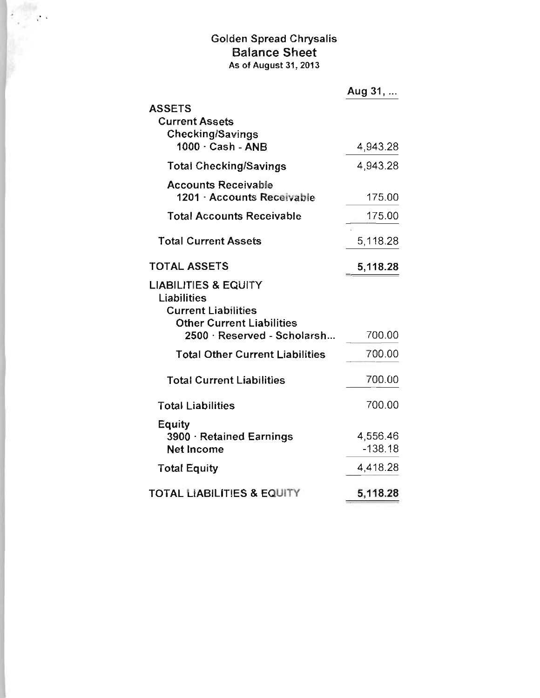# Golden Spread Chrysalis Balance Sheet As of August 31, 2013

 $\epsilon \rightarrow \epsilon$  .

|                                                                              | Aug 31,               |
|------------------------------------------------------------------------------|-----------------------|
| <b>ASSETS</b>                                                                |                       |
| <b>Current Assets</b>                                                        |                       |
| <b>Checking/Savings</b><br>1000 · Cash - ANB                                 | 4,943.28              |
| <b>Total Checking/Savings</b>                                                | 4,943.28              |
| <b>Accounts Receivable</b><br>1201 - Accounts Receivable                     | 175.00                |
| <b>Total Accounts Receivable</b>                                             | 175.00                |
| <b>Total Current Assets</b>                                                  | 5,118.28              |
| <b>TOTAL ASSETS</b>                                                          | 5,118.28              |
| <b>LIABILITIES &amp; EQUITY</b><br>Liabilities<br><b>Current Liabilities</b> |                       |
| <b>Other Current Liabilities</b><br>2500 · Reserved - Scholarsh              | 700.00                |
| <b>Total Other Current Liabilities</b>                                       | 700.00                |
| <b>Total Current Liabilities</b>                                             | 700.00                |
| <b>Total Liabilities</b>                                                     | 700.00                |
| Equity<br>3900 · Retained Earnings<br><b>Net Income</b>                      | 4,556.46<br>$-138.18$ |
| <b>Total Equity</b>                                                          | 4,418.28              |
| <b>TOTAL LIABILITIES &amp; EQUITY</b>                                        | 5,118.28              |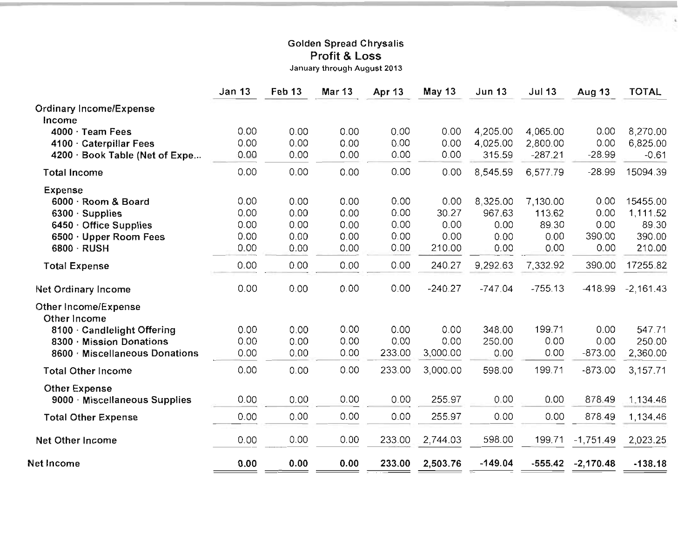## Golden Spread Chrysalis Profit & Loss

January through August 2013

|                                | <b>Jan 13</b> | Feb <sub>13</sub> | <b>Mar 13</b> | Apr 13       | May 13    | <b>Jun 13</b> | <b>Jul 13</b> | Aug 13      | <b>TOTAL</b> |
|--------------------------------|---------------|-------------------|---------------|--------------|-----------|---------------|---------------|-------------|--------------|
| <b>Ordinary Income/Expense</b> |               |                   |               |              |           |               |               |             |              |
| Income                         |               |                   |               |              |           |               |               |             |              |
| 4000 · Team Fees               | 0.00          | 0.00              | 0.00          | 0.00         | 0.00      | 4,205.00      | 4,065.00      | 0.00        | 8,270.00     |
| 4100 · Caterpillar Fees        | 0.00          | 0.00              | 0.00          | 0.00         | 0.00      | 4,025.00      | 2,800.00      | 0.00        | 6,825.00     |
| 4200 · Book Table (Net of Expe | 0.00          | 0.00              | 0.00          | 0.00         | 0.00      | 315.59        | $-287.21$     | $-28.99$    | $-0.61$      |
| <b>Total Income</b>            | 0.00          | 0.00              | 0.00          | 0.00         | 0.00      | 8,545.59      | 6,577.79      | $-28.99$    | 15094.39     |
| <b>Expense</b>                 |               |                   |               |              |           |               |               |             |              |
| 6000 · Room & Board            | 0.00          | 0.00              | 0.00          | 0.00         | 0.00      | 8,325.00      | 7,130.00      | 0.00        | 15455.00     |
| $6300 \cdot$ Supplies          | 0.00          | 0.00              | 0.00          | 0.00         | 30.27     | 967.63        | 113.62        | 0.00        | 1,111.52     |
| 6450 · Office Supplies         | 0.00          | 0.00              | 0.00          | 0.00         | 0.00      | 0.00          | 89.30         | 0.00        | 89.30        |
| 6500 · Upper Room Fees         | 0.00          | 0.00              | 0.00          | 0.00         | 0.00      | 0.00          | 0.00          | 390.00      | 390.00       |
| 6800 · RUSH                    | 0.00          | 0.00              | 0.00          | 0.00         | 210.00    | 0.00          | 0.00          | 0.00        | 210.00       |
| <b>Total Expense</b>           | 0.00          | 0.00              | 0.00          | 0.00         | 240.27    | 9,292.63      | 7,332.92      | 390.00      | 17255.82     |
| <b>Net Ordinary Income</b>     | 0.00          | 0.00              | 0.00          | 0.00         | $-240.27$ | $-747.04$     | $-755.13$     | $-418.99$   | $-2,161.43$  |
| Other Income/Expense           |               |                   |               |              |           |               |               |             |              |
| Other Income                   |               |                   |               |              | 0.00      | 348.00        | 199.71        | 0.00        | 547.71       |
| 8100 · Candlelight Offering    | 0.00          | 0.00              | 0.00<br>0.00  | 0.00<br>0.00 | 0.00      | 250.00        | 0.00          | 0.00        | 250.00       |
| 8300 · Mission Donations       | 0.00<br>0.00  | 0.00<br>0.00      | 0.00          | 233.00       | 3,000.00  | 0.00          | 0.00          | $-873.00$   | 2,360.00     |
| 8600 Miscellaneous Donations   |               |                   |               |              |           |               |               |             |              |
| <b>Total Other Income</b>      | 0.00          | 0.00              | 0.00          | 233.00       | 3,000.00  | 598.00        | 199.71        | $-873.00$   | 3,157.71     |
| <b>Other Expense</b>           |               |                   |               |              |           |               |               |             |              |
| 9000 · Miscellaneous Supplies  | 0.00          | 0.00              | 0.00          | 0.00         | 255.97    | 0.00          | 0.00          | 878.49      | 1.134.46     |
| <b>Total Other Expense</b>     | 0.00          | 0.00              | 0.00          | 0.00         | 255.97    | 0.00          | 0.00          | 878.49      | 1,134.46     |
| <b>Net Other Income</b>        | 0.00          | 0.00              | 0.00          | 233.00       | 2,744.03  | 598.00        | 199.71        | $-1,751.49$ | 2,023.25     |
| Net Income                     | 0.00          | 0.00              | 0.00          | 233.00       | 2,503.76  | $-149.04$     | $-555.42$     | $-2,170.48$ | $-138.18$    |